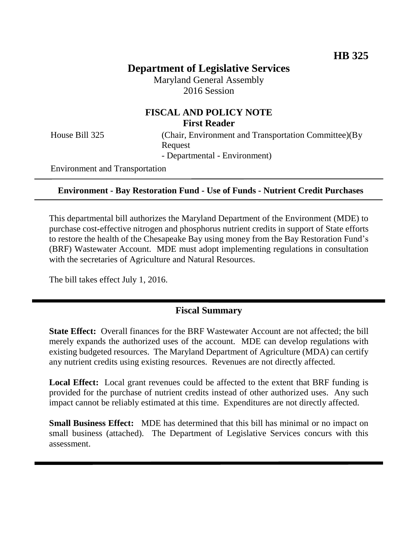# **Department of Legislative Services**

Maryland General Assembly 2016 Session

## **FISCAL AND POLICY NOTE First Reader**

House Bill 325 (Chair, Environment and Transportation Committee)(By Request - Departmental - Environment)

Environment and Transportation

#### **Environment - Bay Restoration Fund - Use of Funds - Nutrient Credit Purchases**

This departmental bill authorizes the Maryland Department of the Environment (MDE) to purchase cost-effective nitrogen and phosphorus nutrient credits in support of State efforts to restore the health of the Chesapeake Bay using money from the Bay Restoration Fund's (BRF) Wastewater Account. MDE must adopt implementing regulations in consultation with the secretaries of Agriculture and Natural Resources.

The bill takes effect July 1, 2016.

## **Fiscal Summary**

**State Effect:** Overall finances for the BRF Wastewater Account are not affected; the bill merely expands the authorized uses of the account. MDE can develop regulations with existing budgeted resources. The Maryland Department of Agriculture (MDA) can certify any nutrient credits using existing resources. Revenues are not directly affected.

**Local Effect:** Local grant revenues could be affected to the extent that BRF funding is provided for the purchase of nutrient credits instead of other authorized uses. Any such impact cannot be reliably estimated at this time. Expenditures are not directly affected.

**Small Business Effect:** MDE has determined that this bill has minimal or no impact on small business (attached). The Department of Legislative Services concurs with this assessment.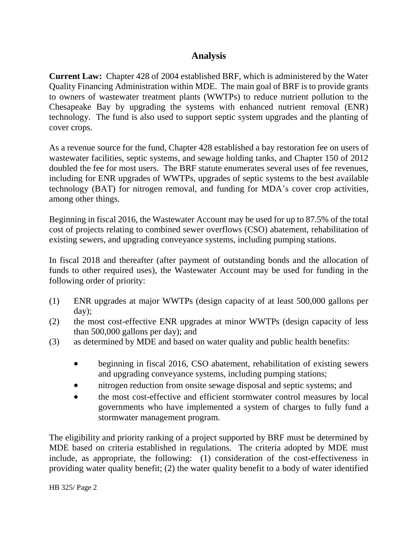## **Analysis**

**Current Law:** Chapter 428 of 2004 established BRF, which is administered by the Water Quality Financing Administration within MDE. The main goal of BRF is to provide grants to owners of wastewater treatment plants (WWTPs) to reduce nutrient pollution to the Chesapeake Bay by upgrading the systems with enhanced nutrient removal (ENR) technology. The fund is also used to support septic system upgrades and the planting of cover crops.

As a revenue source for the fund, Chapter 428 established a bay restoration fee on users of wastewater facilities, septic systems, and sewage holding tanks, and Chapter 150 of 2012 doubled the fee for most users. The BRF statute enumerates several uses of fee revenues, including for ENR upgrades of WWTPs, upgrades of septic systems to the best available technology (BAT) for nitrogen removal, and funding for MDA's cover crop activities, among other things.

Beginning in fiscal 2016, the Wastewater Account may be used for up to 87.5% of the total cost of projects relating to combined sewer overflows (CSO) abatement, rehabilitation of existing sewers, and upgrading conveyance systems, including pumping stations.

In fiscal 2018 and thereafter (after payment of outstanding bonds and the allocation of funds to other required uses), the Wastewater Account may be used for funding in the following order of priority:

- (1) ENR upgrades at major WWTPs (design capacity of at least 500,000 gallons per day);
- (2) the most cost-effective ENR upgrades at minor WWTPs (design capacity of less than 500,000 gallons per day); and
- (3) as determined by MDE and based on water quality and public health benefits:
	- beginning in fiscal 2016, CSO abatement, rehabilitation of existing sewers and upgrading conveyance systems, including pumping stations;
	- nitrogen reduction from onsite sewage disposal and septic systems; and
	- the most cost-effective and efficient stormwater control measures by local governments who have implemented a system of charges to fully fund a stormwater management program.

The eligibility and priority ranking of a project supported by BRF must be determined by MDE based on criteria established in regulations. The criteria adopted by MDE must include, as appropriate, the following: (1) consideration of the cost-effectiveness in providing water quality benefit; (2) the water quality benefit to a body of water identified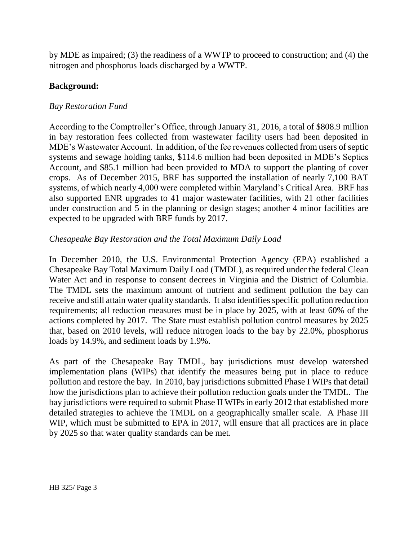by MDE as impaired; (3) the readiness of a WWTP to proceed to construction; and (4) the nitrogen and phosphorus loads discharged by a WWTP.

## **Background:**

#### *Bay Restoration Fund*

According to the Comptroller's Office, through January 31, 2016, a total of \$808.9 million in bay restoration fees collected from wastewater facility users had been deposited in MDE's Wastewater Account. In addition, of the fee revenues collected from users of septic systems and sewage holding tanks, \$114.6 million had been deposited in MDE's Septics Account, and \$85.1 million had been provided to MDA to support the planting of cover crops. As of December 2015, BRF has supported the installation of nearly 7,100 BAT systems, of which nearly 4,000 were completed within Maryland's Critical Area. BRF has also supported ENR upgrades to 41 major wastewater facilities, with 21 other facilities under construction and 5 in the planning or design stages; another 4 minor facilities are expected to be upgraded with BRF funds by 2017.

### *Chesapeake Bay Restoration and the Total Maximum Daily Load*

In December 2010, the U.S. Environmental Protection Agency (EPA) established a Chesapeake Bay Total Maximum Daily Load (TMDL), as required under the federal Clean Water Act and in response to consent decrees in Virginia and the District of Columbia. The TMDL sets the maximum amount of nutrient and sediment pollution the bay can receive and still attain water quality standards. It also identifies specific pollution reduction requirements; all reduction measures must be in place by 2025, with at least 60% of the actions completed by 2017. The State must establish pollution control measures by 2025 that, based on 2010 levels, will reduce nitrogen loads to the bay by 22.0%, phosphorus loads by 14.9%, and sediment loads by 1.9%.

As part of the Chesapeake Bay TMDL, bay jurisdictions must develop watershed implementation plans (WIPs) that identify the measures being put in place to reduce pollution and restore the bay. In 2010, bay jurisdictions submitted Phase I WIPs that detail how the jurisdictions plan to achieve their pollution reduction goals under the TMDL. The bay jurisdictions were required to submit Phase II WIPs in early 2012 that established more detailed strategies to achieve the TMDL on a geographically smaller scale. A Phase III WIP, which must be submitted to EPA in 2017, will ensure that all practices are in place by 2025 so that water quality standards can be met.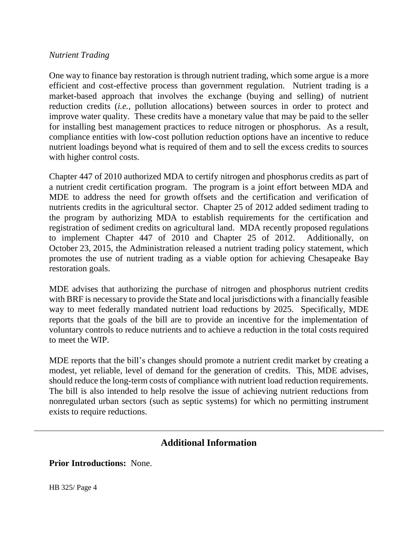#### *Nutrient Trading*

One way to finance bay restoration is through nutrient trading, which some argue is a more efficient and cost-effective process than government regulation. Nutrient trading is a market-based approach that involves the exchange (buying and selling) of nutrient reduction credits (*i.e.*, pollution allocations) between sources in order to protect and improve water quality. These credits have a monetary value that may be paid to the seller for installing best management practices to reduce nitrogen or phosphorus. As a result, compliance entities with low-cost pollution reduction options have an incentive to reduce nutrient loadings beyond what is required of them and to sell the excess credits to sources with higher control costs.

Chapter 447 of 2010 authorized MDA to certify nitrogen and phosphorus credits as part of a nutrient credit certification program. The program is a joint effort between MDA and MDE to address the need for growth offsets and the certification and verification of nutrients credits in the agricultural sector. Chapter 25 of 2012 added sediment trading to the program by authorizing MDA to establish requirements for the certification and registration of sediment credits on agricultural land. MDA recently proposed regulations to implement Chapter 447 of 2010 and Chapter 25 of 2012. Additionally, on October 23, 2015, the Administration released a nutrient trading policy statement, which promotes the use of nutrient trading as a viable option for achieving Chesapeake Bay restoration goals.

MDE advises that authorizing the purchase of nitrogen and phosphorus nutrient credits with BRF is necessary to provide the State and local jurisdictions with a financially feasible way to meet federally mandated nutrient load reductions by 2025. Specifically, MDE reports that the goals of the bill are to provide an incentive for the implementation of voluntary controls to reduce nutrients and to achieve a reduction in the total costs required to meet the WIP.

MDE reports that the bill's changes should promote a nutrient credit market by creating a modest, yet reliable, level of demand for the generation of credits. This, MDE advises, should reduce the long-term costs of compliance with nutrient load reduction requirements. The bill is also intended to help resolve the issue of achieving nutrient reductions from nonregulated urban sectors (such as septic systems) for which no permitting instrument exists to require reductions.

## **Additional Information**

**Prior Introductions:** None.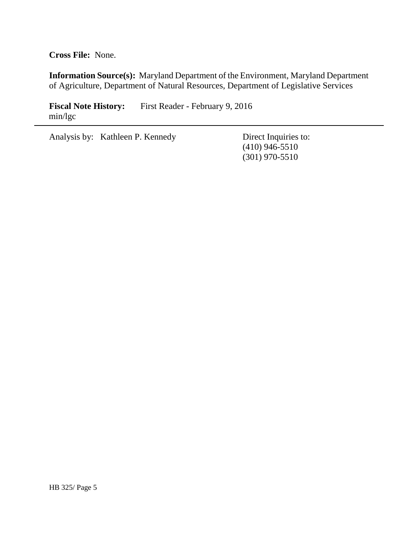**Cross File:** None.

**Information Source(s):** Maryland Department of the Environment, Maryland Department of Agriculture, Department of Natural Resources, Department of Legislative Services

**Fiscal Note History:** First Reader - February 9, 2016 min/lgc

Analysis by: Kathleen P. Kennedy Direct Inquiries to:

(410) 946-5510 (301) 970-5510